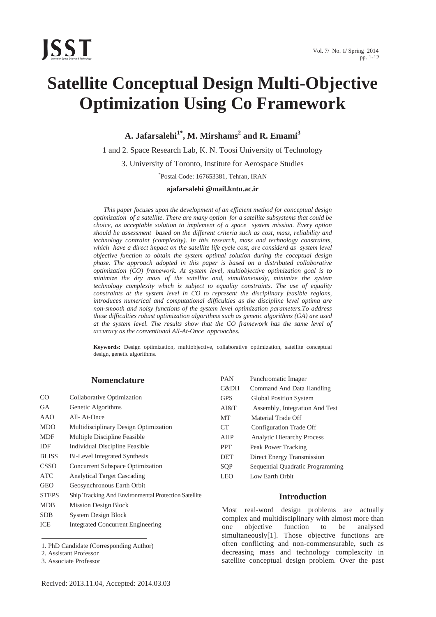

# **Satellite Conceptual Design Multi-Objective Optimization Using Co Framework**

 $\mathbf{A}.$  Jafarsalehi $^{1^*}, \mathbf{M}.$  Mirshams $^2$  and  $\mathbf{R}.$  Emami $^3$ 

1 and 2. Space Research Lab, K. N. Toosi University of Technology

3. University of Toronto, Institute for Aerospace Studies

\* Postal Code: 167653381, Tehran, IRAN

**ajafarsalehi @mail.kntu.ac.ir** 

*This paper focuses upon the development of an efficient method for conceptual design optimization of a satellite. There are many option for a satellite subsystems that could be choice, as acceptable solution to implement of a space system mission. Every option should be assessment based on the different criteria such as cost, mass, reliability and technology contraint (complexity). In this research, mass and technology constraints, which have a direct impact on the satellite life cycle cost, are considerd as system level objective function to obtain the system optimal solution during the coceptual design phase. The approach adopted in this paper is based on a distributed collaborative optimization (CO) framework. At system level, multiobjective optimization goal is to minimize the dry mass of the satellite and, simultaneously, minimize the system technology complexity which is subject to equality constraints. The use of equality constraints at the system level in CO to represent the disciplinary feasible regions, introduces numerical and computational difficulties as the discipline level optima are non-smooth and noisy functions of the system level optimization parameters.To address these difficulties robust optimization algorithms such as genetic algorithms (GA) are used at the system level. The results show that the CO framework has the same level of accuracy as the conventional All-At-Once approaches.* 

**Keywords:** Design optimization, multiobjective, collaborative optimization, satellite conceptual design, genetic algorithms.

## Nomenclature

| CO           | Collaborative Optimization                           |
|--------------|------------------------------------------------------|
| GА           | Genetic Algorithms                                   |
| AAO          | All-At-Once                                          |
| MDO          | Multidisciplinary Design Optimization                |
| MDF          | Multiple Discipline Feasible                         |
| IDF          | Individual Discipline Feasible                       |
| <b>BLISS</b> | Bi-Level Integrated Synthesis                        |
| CSSO         | Concurrent Subspace Optimization                     |
| ATC          | <b>Analytical Target Cascading</b>                   |
| GEO          | Geosynchronous Earth Orbit                           |
| <b>STEPS</b> | Ship Tracking And Environmental Protection Satellite |
| MDB          | <b>Mission Design Block</b>                          |
| <b>SDB</b>   | <b>System Design Block</b>                           |
|              |                                                      |

ICE Integrated Concurrent Engineering

 $\overline{\phantom{a}}$ 

| PAN        | Panchromatic Imager               |
|------------|-----------------------------------|
| C&DH       | Command And Data Handling         |
| <b>GPS</b> | <b>Global Position System</b>     |
| AI&T       | Assembly, Integration And Test    |
| MT         | Material Trade Off                |
| CT         | Configuration Trade Off           |
| AHP        | <b>Analytic Hierarchy Process</b> |
| <b>PPT</b> | Peak Power Tracking               |
| <b>DET</b> | <b>Direct Energy Transmission</b> |
| SOP        | Sequential Quadratic Programming  |
| LEO        | Low Earth Orbit                   |

# **Introduction**

Most real-word design problems are actually complex and multidisciplinary with almost more than one objective function to be analysed simultaneously<sup>[1]</sup>. Those objective functions are often conflicting and non-commensurable, such as decreasing mass and technology complexcity in satellite conceptual design problem. Over the past

<sup>1.</sup> PhD Candidate (Corresponding Author)

<sup>2.</sup> Assistant Professor

<sup>3.</sup> Associate Professor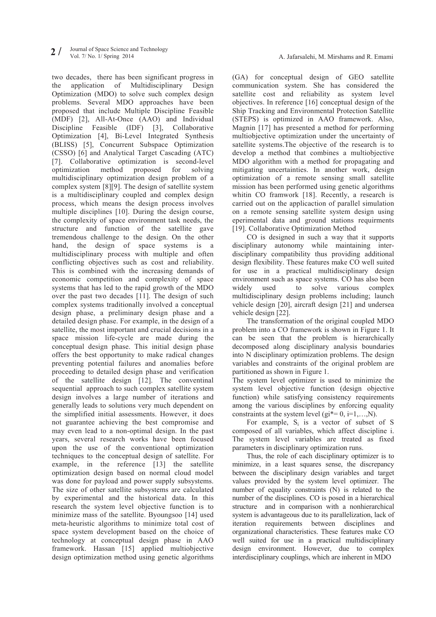two decades, there has been significant progress in the application of Multidisciplinary Design Optimization (MDO) to solve such complex design problems. Several MDO approaches have been proposed that include Multiple Discipline Feasible (MDF) [2], All-At-Once (AAO) and Individual Discipline Feasible (IDF) [3], Collaborative Optimization [4], Bi-Level Integrated Synthesis (BLISS) [5], Concurrent Subspace Optimization (CSSO) [6] and Analytical Target Cascading (ATC) [7]. Collaborative optimization is second-level optimization method proposed for solving multidisciplinary optimization design problem of a complex system [8][9]. The design of satellite system is a multidisciplinary coupled and complex design process, which means the design process involves multiple disciplines [10]. During the design course, the complexity of space environment task needs, the structure and function of the satellite gave tremendous challenge to the design. On the other hand, the design of space systems is a multidisciplinary process with multiple and often conflicting objectives such as cost and reliability. This is combined with the increasing demands of economic competition and complexity of space systems that has led to the rapid growth of the MDO over the past two decades [11]. The design of such complex systems traditionally involved a conceptual design phase, a preliminary design phase and a detailed design phase. For example, in the design of a satellite, the most important and crucial decisions in a space mission life-cycle are made during the conceptual design phase. This initial design phase offers the best opportunity to make radical changes preventing potential failures and anomalies before proceeding to detailed design phase and verification of the satellite design [12]. The conventinal sequential approach to such complex satellite system design involves a large number of iterations and generally leads to solutions very much dependent on the simplified initial assessments. However, it does not guarantee achieving the best compromise and may even lead to a non-optimal design. In the past years, several research works have been focused upon the use of the conventional optimization techniques to the conceptual design of satellite. For example, in the reference [13] the satellite optimization design based on normal cloud model was done for payload and power supply subsystems. The size of other satellite subsystems are calculated by experimental and the historical data. In this research the system level objective function is to minimize mass of the satellite. Byoungsoo [14] used meta-heuristic algorithms to minimize total cost of space system development based on the choice of technology at conceptual design phase in AAO framework. Hassan [15] applied multiobjective design optimization method using genetic algorithms (GA) for conceptual design of GEO satellite communication system. She has considered the satellite cost and reliability as system level objectives. In reference [16] conceptual design of the Ship Tracking and Environmental Protection Satellite (STEPS) is optimized in AAO framework. Also, Magnin [17] has presented a method for performing multiobjective optimization under the uncertainty of satellite systems.The objective of the research is to develop a method that combines a multiobjective MDO algorithm with a method for propagating and mitigating uncertainties. In another work, design optimization of a remote sensing small satellite mission has been performed using genetic algorithms whitin CO framwork [18]. Recently, a research is carried out on the applicaction of parallel simulation on a remote sensing satellite system design using eperimental data and ground stations requirments [19]. Collaborative Optimization Method

CO is designed in such a way that it supports disciplinary autonomy while maintaining interdisciplinary compatibility thus providing additional design flexibility. These features make CO well suited for use in a practical multidisciplinary design environment such as space systems. CO has also been widely used to solve various complex multidisciplinary design problems including; launch vehicle design [20], aircraft design [21] and undersea vehicle design [22].

The transformation of the original coupled MDO problem into a CO framework is shown in Figure 1. It can be seen that the problem is hierarchically decomposed along disciplinary analysis boundaries into N disciplinary optimization problems. The design variables and constraints of the original problem are partitioned as shown in Figure 1.

The system level optimizer is used to minimize the system level objective function (design objective function) while satisfying consistency requirements among the various disciplines by enforcing equality constraints at the system level  $(g_i^* = 0, i=1,...,N)$ .

For example,  $S_i$  is a vector of subset of S composed of all variables, which affect discipline i. The system level variables are treated as fixed parameters in disciplinary optimization runs.

Thus, the role of each disciplinary optimizer is to minimize, in a least squares sense, the discrepancy between the disciplinary design variables and target values provided by the system level optimizer. The number of equality constraints (N) is related to the number of the disciplines. CO is posed in a hierarchical structure and in comparison with a nonhierarchical system is advantageous due to its parallelization, lack of iteration requirements between disciplines and organizational characteristics. These features make CO well suited for use in a practical multidisciplinary design environment. However, due to complex interdisciplinary couplings, which are inherent in MDO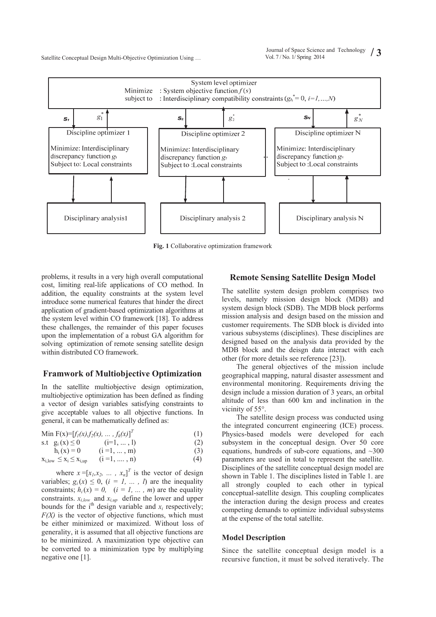

**Fig. 1** Collaborative optimization framework

problems, it results in a very high overall computational cost, limiting real-life applications of CO method. In addition, the equality constraints at the system level introduce some numerical features that hinder the direct application of gradient-based optimization algorithms at the system level within CO framework [18]. To address these challenges, the remainder of this paper focuses upon the implementation of a robust GA algorithm for solving optimization of remote sensing satellite design within distributed CO framework.

#### **Framwork of Multiobjective Optimization**

In the satellite multiobjective design optimization, multiobjective optimization has been defined as finding a vector of design variables satisfying constraints to give acceptable values to all objective functions. In general, it can be mathematically defined as:

Min F(x)=
$$
[f_1(x), f_2(x), ..., f_k(x)]^T
$$
 (1)

s.t 
$$
g_i(x) \le 0
$$
 (i=1, ..., 1) (2)  
h (v) = 0 (i=1, ..., m) (3)

$$
h_i(x) = 0 \t (i = 1, ..., m) \t (3)\n xi,low \le xi \le xi,up \t (i = 1, ..., n) \t (4)
$$

where  $x = [x_1, x_2, \dots, x_n]^T$  is the vector of design variables;  $g_i(x) \leq 0$ ,  $(i = 1, ..., l)$  are the inequality constraints;  $h_i(x) = 0$ ,  $(i = 1, ..., m)$  are the equality constraints.  $x_{i,low}$  and  $x_{i,up}$  define the lower and upper bounds for the  $i<sup>th</sup>$  design variable and  $x<sub>i</sub>$  respectively;  $F(X)$  is the vector of objective functions, which must be either minimized or maximized. Without loss of generality, it is assumed that all objective functions are to be minimized. A maximization type objective can be converted to a minimization type by multiplying negative one [1].

## **Remote Sensing Satellite Design Model**

The satellite system design problem comprises two levels, namely mission design block (MDB) and system design block (SDB). The MDB block performs mission analysis and design based on the mission and customer requirements. The SDB block is divided into various subsystems (disciplines). These disciplines are designed based on the analysis data provided by the MDB block and the deisgn data interact with each other (for more details see reference [23]).

The general objectives of the mission include geographical mapping, natural disaster assessment and environmental monitoring. Requirements driving the design include a mission duration of 3 years, an orbital altitude of less than 600 km and inclination in the vicinity of 55°.

The satellite design process was conducted using the integrated concurrent engineering (ICE) process. Physics-based models were developed for each subsystem in the conceptual design. Over 50 core equations, hundreds of sub-core equations, and  $\sim$ 300 parameters are used in total to represent the satellite. Disciplines of the satellite conceptual design model are shown in Table 1. The disciplines listed in Table 1. are all strongly coupled to each other in typical conceptual-satellite design. This coupling complicates the interaction during the design process and creates competing demands to optimize individual subsystems at the expense of the total satellite.

## **Model Description**

Since the satellite conceptual design model is a recursive function, it must be solved iteratively. The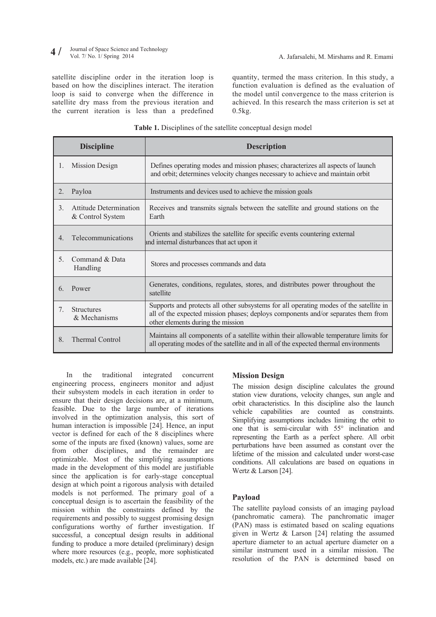#### Journal of Space Science and Technology<br>Vol. 7/ No. 1/ Spring 2014 **4** / Journal of Space Science and Technology<br>
Vol. 7/ No. 1/ Spring 2014<br> **4** A. Jafarsalehi, M. Mirshams and R. Emami

satellite discipline order in the iteration loop is based on how the disciplines interact. The iteration loop is said to converge when the difference in satellite dry mass from the previous iteration and the current iteration is less than a predefined

quantity, termed the mass criterion. In this study, a function evaluation is defined as the evaluation of the model until convergence to the mass criterion is achieved. In this research the mass criterion is set at  $0.5kg$ .

| Table 1. Disciplines of the satellite conceptual design model |  |
|---------------------------------------------------------------|--|
|---------------------------------------------------------------|--|

|                                  | <b>Discipline</b>                          | <b>Description</b>                                                                                                                                                                                               |
|----------------------------------|--------------------------------------------|------------------------------------------------------------------------------------------------------------------------------------------------------------------------------------------------------------------|
| 1.                               | <b>Mission Design</b>                      | Defines operating modes and mission phases; characterizes all aspects of launch<br>and orbit; determines velocity changes necessary to achieve and maintain orbit                                                |
| 2.                               | Payloa                                     | Instruments and devices used to achieve the mission goals                                                                                                                                                        |
| $\mathfrak{Z}$ .                 | Attitude Determination<br>& Control System | Receives and transmits signals between the satellite and ground stations on the<br>Earth                                                                                                                         |
| $\overline{4}$                   | Telecommunications                         | Orients and stabilizes the satellite for specific events countering external<br>and internal disturbances that act upon it                                                                                       |
| 5.                               | Command & Data<br>Handling                 | Stores and processes commands and data                                                                                                                                                                           |
| 6.                               | Power                                      | Generates, conditions, regulates, stores, and distributes power throughout the<br>satellite                                                                                                                      |
| $7_{\scriptscriptstyle{\ddots}}$ | <b>Structures</b><br>& Mechanisms          | Supports and protects all other subsystems for all operating modes of the satellite in<br>all of the expected mission phases; deploys components and/or separates them from<br>other elements during the mission |
| 8.                               | <b>Thermal Control</b>                     | Maintains all components of a satellite within their allowable temperature limits for<br>all operating modes of the satellite and in all of the expected thermal environments                                    |

In the traditional integrated concurrent engineering process, engineers monitor and adjust their subsystem models in each iteration in order to ensure that their design decisions are, at a minimum, feasible. Due to the large number of iterations involved in the optimization analysis, this sort of human interaction is impossible [24]. Hence, an input vector is defined for each of the 8 disciplines where some of the inputs are fixed (known) values, some are from other disciplines, and the remainder are optimizable. Most of the simplifying assumptions made in the development of this model are justifiable since the application is for early-stage conceptual design at which point a rigorous analysis with detailed models is not performed. The primary goal of a conceptual design is to ascertain the feasibility of the mission within the constraints defined by the requirements and possibly to suggest promising design configurations worthy of further investigation. If successful, a conceptual design results in additional funding to produce a more detailed (preliminary) design where more resources (e.g., people, more sophisticated models, etc.) are made available [24].

# **Mission Design**

The mission design discipline calculates the ground station view durations, velocity changes, sun angle and orbit characteristics. In this discipline also the launch vehicle capabilities are counted as constraints. Simplifying assumptions includes limiting the orbit to one that is semi-circular with 55° inclination and representing the Earth as a perfect sphere. All orbit perturbations have been assumed as constant over the lifetime of the mission and calculated under worst-case conditions. All calculations are based on equations in Wertz & Larson [24].

## **Payload**

The satellite payload consists of an imaging payload (panchromatic camera). The panchromatic imager (PAN) mass is estimated based on scaling equations given in Wertz & Larson [24] relating the assumed aperture diameter to an actual aperture diameter on a similar instrument used in a similar mission. The resolution of the PAN is determined based on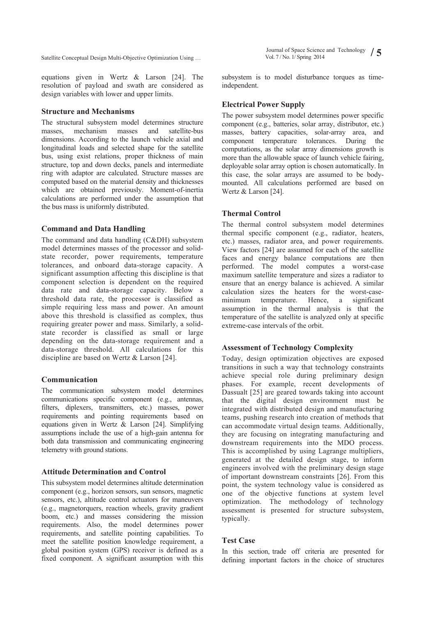Vol. 7 / No. 1/ Spring 2014 **/ 5** Satellite Conceptual Design Multi-Objective Optimization Using …

equations given in Wertz & Larson [24]. The resolution of payload and swath are considered as design variables with lower and upper limits.

#### **Structure and Mechanisms**

The structural subsystem model determines structure masses, mechanism masses and satellite-bus dimensions. According to the launch vehicle axial and longitudinal loads and selected shape for the satellite bus, using exist relations, proper thickness of main structure, top and down decks, panels and intermediate ring with adaptor are calculated. Structure masses are computed based on the material density and thicknesses which are obtained previously. Moment-of-inertia calculations are performed under the assumption that the bus mass is uniformly distributed.

# **Command and Data Handling**

The command and data handling (C&DH) subsystem model determines masses of the processor and solidstate recorder, power requirements, temperature tolerances, and onboard data-storage capacity. A significant assumption affecting this discipline is that component selection is dependent on the required data rate and data-storage capacity. Below a threshold data rate, the processor is classified as simple requiring less mass and power. An amount above this threshold is classified as complex, thus requiring greater power and mass. Similarly, a solidstate recorder is classified as small or large depending on the data-storage requirement and a data-storage threshold. All calculations for this discipline are based on Wertz & Larson [24].

#### **Communication**

The communication subsystem model determines communications specific component (e.g., antennas, filters, diplexers, transmitters, etc.) masses, power requirements and pointing requirements based on equations given in Wertz & Larson [24]. Simplifying assumptions include the use of a high-gain antenna for both data transmission and communicating engineering telemetry with ground stations.

## **Attitude Determination and Control**

This subsystem model determines altitude determination component (e.g., horizon sensors, sun sensors, magnetic sensors, etc.), altitude control actuators for maneuvers (e.g., magnetorquers, reaction wheels, gravity gradient boom, etc.) and masses considering the mission requirements. Also, the model determines power requirements, and satellite pointing capabilities. To meet the satellite position knowledge requirement, a global position system (GPS) receiver is defined as a fixed component. A significant assumption with this Journal of Space Science and Technology  $\int$ 

subsystem is to model disturbance torques as timeindependent.

#### **Electrical Power Supply**

The power subsystem model determines power specific component (e.g., batteries, solar array, distributor, etc.) masses, battery capacities, solar-array area, and component temperature tolerances. During the computations, as the solar array dimensions growth is more than the allowable space of launch vehicle fairing, deployable solar array option is chosen automatically. In this case, the solar arrays are assumed to be bodymounted. All calculations performed are based on Wertz & Larson [24].

#### **Thermal Control**

The thermal control subsystem model determines thermal specific component (e.g., radiator, heaters, etc.) masses, radiator area, and power requirements. View factors [24] are assumed for each of the satellite faces and energy balance computations are then performed. The model computes a worst-case maximum satellite temperature and sizes a radiator to ensure that an energy balance is achieved. A similar calculation sizes the heaters for the worst-caseminimum temperature. Hence, a significant assumption in the thermal analysis is that the temperature of the satellite is analyzed only at specific extreme-case intervals of the orbit.

#### **Assessment of Technology Complexity**

Today, design optimization objectives are exposed transitions in such a way that technology constraints achieve special role during preliminary design phases. For example, recent developments of Dassualt [25] are geared towards taking into account that the digital design environment must be integrated with distributed design and manufacturing teams, pushing research into creation of methods that can accommodate virtual design teams. Additionally, they are focusing on integrating manufacturing and downstream requirements into the MDO process. This is accomplished by using Lagrange multipliers, generated at the detailed design stage, to inform engineers involved with the preliminary design stage of important downstream constraints [26]. From this point, the system technology value is considered as one of the objective functions at system level optimization. The methodology of technology assessment is presented for structure subsystem, typically.

#### **Test Case**

In this section, trade off criteria are presented for defining important factors in the choice of structures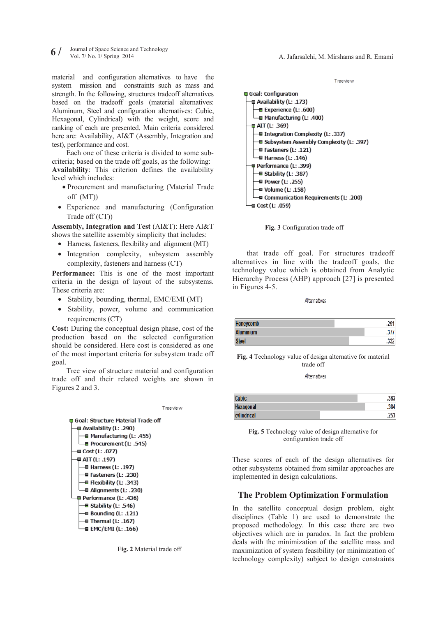Journal of Space Science and Technology **6** / Journal of Space Science and Technology<br> **6** / Vol. 7/ No. 1/ Spring 2014<br> **6** A. Jafarsalehi, M. Mirshams and R. Emami

material and configuration alternatives to have the system mission and constraints such as mass and strength. In the following, structures tradeoff alternatives based on the tradeoff goals (material alternatives: Aluminum, Steel and configuration alternatives: Cubic, Hexagonal, Cylindrical) with the weight, score and ranking of each are presented. Main criteria considered here are: Availability, AI&T (Assembly, Integration and test), performance and cost.

Each one of these criteria is divided to some subcriteria; based on the trade off goals, as the following: **Availability**: This criterion defines the availability level which includes:

- Procurement and manufacturing (Material Trade off (MT))
- x Experience and manufacturing (Configuration Trade off (CT))

**Assembly, Integration and Test** (AI&T): Here AI&T shows the satellite assembly simplicity that includes:

- Harness, fasteners, flexibility and alignment (MT)
- Integration complexity, subsystem assembly complexity, fasteners and harness (CT)

**Performance:** This is one of the most important criteria in the design of layout of the subsystems. These criteria are:

- Stability, bounding, thermal, EMC/EMI (MT)
- Stability, power, volume and communication requirements (CT)

**Cost:** During the conceptual design phase, cost of the production based on the selected configuration should be considered. Here cost is considered as one of the most important criteria for subsystem trade off goal.

Tree view of structure material and configuration trade off and their related weights are shown in Figures 2 and 3.









that trade off goal. For structures tradeoff alternatives in line with the tradeoff goals, the technology value which is obtained from Analytic Hierarchy Process (AHP) approach [27] is presented in Figures 4-5.

Alternatives

| Honeycomb        | .291 |
|------------------|------|
| <b>Aluminium</b> | .377 |
| <b>Steel</b>     | .332 |

**Fig. 4** Technology value of design alternative for material trade off

Alternatives

| <b>Cubic</b>     | .363 |
|------------------|------|
| <b>Hexagonal</b> | .384 |
| cylindrical      | .253 |

**Fig. 5** Technology value of design alternative for configuration trade off

These scores of each of the design alternatives for other subsystems obtained from similar approaches are implemented in design calculations.

## **The Problem Optimization Formulation**

In the satellite conceptual design problem, eight disciplines (Table 1) are used to demonstrate the proposed methodology. In this case there are two objectives which are in paradox. In fact the problem deals with the minimization of the satellite mass and maximization of system feasibility (or minimization of technology complexity) subject to design constraints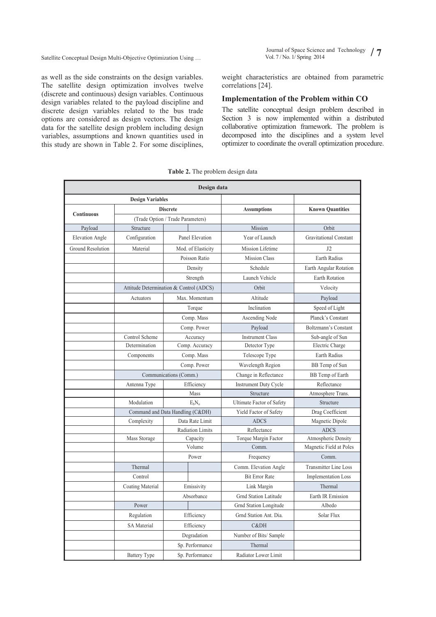Vol. 7 / No. 1/ Spring 2014 **/ 7** Satellite Conceptual Design Multi-Objective Optimization Using …

as well as the side constraints on the design variables. The satellite design optimization involves twelve (discrete and continuous) design variables. Continuous design variables related to the payload discipline and discrete design variables related to the bus trade options are considered as design vectors. The design data for the satellite design problem including design variables, assumptions and known quantities used in this study are shown in Table 2. For some disciplines,

Journal of Space Science and Technology / 7

weight characteristics are obtained from parametric correlations [24].

#### **Implementation of the Problem within CO**

The satellite conceptual design problem described in Section 3 is now implemented within a distributed collaborative optimization framework. The problem is decomposed into the disciplines and a system level optimizer to coordinate the overall optimization procedure.

| Design data             |                     |                                         |                              |                               |  |
|-------------------------|---------------------|-----------------------------------------|------------------------------|-------------------------------|--|
| <b>Design Variables</b> |                     |                                         |                              |                               |  |
|                         | <b>Discrete</b>     |                                         | <b>Assumptions</b>           | <b>Known Quantities</b>       |  |
| Continuous              |                     | (Trade Option / Trade Parameters)       |                              |                               |  |
| Payload                 | Structure           |                                         | Mission                      | Orbit                         |  |
| <b>Elevation Angle</b>  | Configuration       | Panel Elevation                         | Year of Launch               | <b>Gravitational Constant</b> |  |
| Ground Resolution       | Material            | Mod. of Elasticity                      | Mission Lifetime             | 12                            |  |
|                         |                     | Poisson Ratio                           | <b>Mission Class</b>         | Earth Radius                  |  |
|                         |                     | Density                                 | Schedule                     | <b>Earth Angular Rotation</b> |  |
|                         |                     | Strength                                | Launch Vehicle               | <b>Earth Rotation</b>         |  |
|                         |                     | Attitude Determination & Control (ADCS) | Orbit                        | Velocity                      |  |
|                         | Actuators           | Max. Momentum                           | Altitude                     | Payload                       |  |
|                         |                     | Torque                                  | Inclination                  | Speed of Light                |  |
|                         |                     | Comp. Mass                              | Ascending Node               | Planck's Constant             |  |
|                         |                     | Comp. Power                             | Payload                      | Boltzmann's Constant          |  |
|                         | Control Scheme      | Accuracy                                | <b>Instrument Class</b>      | Sub-angle of Sun              |  |
|                         | Determination       | Comp. Accuracy                          | Detector Type                | Electric Charge               |  |
|                         | Components          | Comp. Mass                              | Telescope Type               | Earth Radius                  |  |
|                         |                     | Comp. Power                             | Wavelength Region            | BB Temp of Sun                |  |
|                         |                     | Communications (Comm.)                  | Change in Reflectance        | BB Temp of Earth              |  |
|                         | Antenna Type        | Efficiency                              | <b>Instrument Duty Cycle</b> | Reflectance                   |  |
|                         |                     | Mass                                    | Structure                    | Atmosphere Trans.             |  |
|                         | Modulation          | $E_hN_o$                                | Ultimate Factor of Safety    | Structure                     |  |
|                         |                     | Command and Data Handling (C&DH)        | Yield Factor of Safety       | Drag Coefficient              |  |
|                         | Complexity          | Data Rate Limit                         | <b>ADCS</b>                  | Magnetic Dipole               |  |
|                         |                     | <b>Radiation Limits</b>                 | Reflectance                  | <b>ADCS</b>                   |  |
|                         | Mass Storage        | Capacity                                | Torque Margin Factor         | Atmospheric Density           |  |
|                         |                     | Volume                                  | Comm.                        | Magnetic Field at Poles       |  |
|                         |                     | Power                                   | Frequency                    | Comm.                         |  |
|                         | Thermal             |                                         | Comm. Elevation Angle        | <b>Transmitter Line Loss</b>  |  |
|                         | Control             |                                         | <b>Bit Error Rate</b>        | <b>Implementation Loss</b>    |  |
|                         | Coating Material    | Emissivity                              | Link Margin                  | Thermal                       |  |
|                         |                     | Absorbance                              | <b>Grnd Station Latitude</b> | Earth IR Emission             |  |
|                         | Power               |                                         | Grnd Station Longitude       | Albedo                        |  |
|                         | Regulation          | Efficiency                              | Grnd Station Ant. Dia.       | Solar Flux                    |  |
|                         | <b>SA</b> Material  | Efficiency                              | C&DH                         |                               |  |
|                         |                     | Degradation                             | Number of Bits/Sample        |                               |  |
|                         |                     | Sp. Performance                         | Thermal                      |                               |  |
|                         | <b>Battery Type</b> | Sp. Performance                         | Radiator Lower Limit         |                               |  |

**Table 2.** The problem design data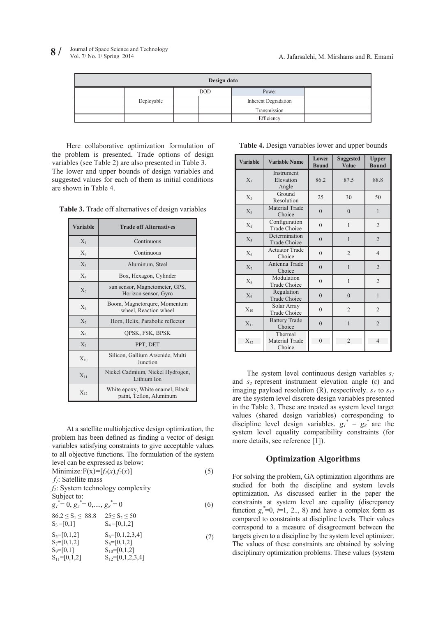| Design data |            |  |            |                      |  |
|-------------|------------|--|------------|----------------------|--|
|             |            |  | <b>DOD</b> | Power                |  |
|             | Deployable |  |            | Inherent Degradation |  |
|             |            |  |            | Transmission         |  |
|             |            |  |            | Efficiency           |  |

Here collaborative optimization formulation of the problem is presented. Trade options of design variables (see Table 2) are also presented in Table 3. The lower and upper bounds of design variables and suggested values for each of them as initial conditions are shown in Table 4.

**Table 3.** Trade off alternatives of design variables

| <b>Variable</b> | <b>Trade off Alternatives</b>                               |  |
|-----------------|-------------------------------------------------------------|--|
| $X_1$           | Continuous                                                  |  |
| $X_2$           | Continuous                                                  |  |
| $X_3$           | Aluminum, Steel                                             |  |
| $X_4$           | Box, Hexagon, Cylinder                                      |  |
| $X_5$           | sun sensor, Magnetometer, GPS,<br>Horizon sensor, Gyro      |  |
| $X_6$           | Boom, Magnetorqure, Momentum<br>wheel, Reaction wheel       |  |
| $X_7$           | Horn, Helix, Parabolic reflector                            |  |
| $X_8$           | QPSK, FSK, BPSK                                             |  |
| $X_{9}$         | PPT, DET                                                    |  |
| $X_{10}$        | Silicon, Gallium Arsenide, Multi<br>Junction                |  |
| $X_{11}$        | Nickel Cadmium, Nickel Hydrogen,<br>Lithium Ion             |  |
| $X_{12}$        | White epoxy, White enamel, Black<br>paint, Teflon, Aluminum |  |

At a satellite multiobjective design optimization, the problem has been defined as finding a vector of design variables satisfying constraints to give acceptable values to all objective functions. The formulation of the system level can be expressed as below:

Minimize:  $F(x) = [f_1(x), f_2(x)]$  (5) *f<sub>1</sub>*: Satellite mass *f2*: System technology complexity Subject to:  $g_1^* = 0, g_2^* = 0, \dots, g_8^* = 0$  (6)  $86.2 \le S_1 \le 88.8$   $25 \le S_2 \le 50$ <br> $S_3 = [0,1]$   $S_4 = [0,1,2]$ (7)  $S_4 = [0,1,2]$  $S_5=[0,1,2]$   $S_6=[0,1,2,3,4]$  $S_7=[0,1,2]$   $S_8=[0,1,2]$  $S_9=[0,1]$ <br>  $S_{10}=[0,1,2]$ <br>  $S_{12}=[0,1,2,3]$ <br>  $S_{12}=[0,1,2,3]$  $S_{12}=[0,1,2,3,4]$ 

| Table 4. Design variables lower and upper bounds |  |  |  |  |
|--------------------------------------------------|--|--|--|--|
|--------------------------------------------------|--|--|--|--|

| <b>Variable</b> | <b>Variable Name</b>                 | Lower<br><b>Bound</b> | <b>Suggested</b><br>Value | <b>Upper</b><br><b>Bound</b> |
|-----------------|--------------------------------------|-----------------------|---------------------------|------------------------------|
| $X_1$           | Instrument<br>Elevation<br>Angle     | 86.2                  | 87.5                      | 88.8                         |
| $X_2$           | Ground<br>Resolution                 | 25                    | 30                        | 50                           |
| $X_3$           | Material Trade<br>Choice             | $\overline{0}$        | $\overline{0}$            | $\mathbf{1}$                 |
| $X_4$           | Configuration<br><b>Trade Choice</b> | $\theta$              | $\mathbf{1}$              | $\overline{2}$               |
| $X_5$           | Determination<br><b>Trade Choice</b> | $\overline{0}$        | $\mathbf{1}$              | $\overline{2}$               |
| $X_6$           | <b>Actuator Trade</b><br>Choice      | $\overline{0}$        | $\overline{2}$            | $\overline{4}$               |
| $X_7$           | Antenna Trade<br>Choice              | $\overline{0}$        | $\mathbf{1}$              | $\overline{2}$               |
| $X_8$           | Modulation<br><b>Trade Choice</b>    | $\overline{0}$        | $\mathbf{1}$              | $\overline{2}$               |
| $X_9$           | Regulation<br>Trade Choice           | $\theta$              | $\theta$                  | $\mathbf{1}$                 |
| $X_{10}$        | Solar Array<br>Trade Choice          | $\overline{0}$        | $\overline{2}$            | $\overline{2}$               |
| $X_{11}$        | <b>Battery Trade</b><br>Choice       | $\overline{0}$        | 1                         | $\overline{2}$               |
| $X_{12}$        | Thermal<br>Material Trade<br>Choice  | $\theta$              | $\overline{c}$            | $\overline{4}$               |

The system level continuous design variables *s1*  and  $s_2$  represent instrument elevation angle ( $\varepsilon$ ) and imaging payload resolution  $(R)$ , respectively.  $s_3$  to  $s_{12}$ are the system level discrete design variables presented in the Table 3. These are treated as system level target values (shared design variables) corresponding to discipline level design variables.  $g_l^* - g_s^*$  are the system level equality compatibility constraints (for more details, see reference [1]).

#### **Optimization Algorithms**

For solving the problem, GA optimization algorithms are studied for both the discipline and system levels optimization. As discussed earlier in the paper the constraints at system level are equality (discrepancy function  $g_i^*$  =0,  $i=1, 2, 8$ ) and have a complex form as compared to constraints at discipline levels. Their values correspond to a measure of disagreement between the targets given to a discipline by the system level optimizer. The values of these constraints are obtained by solving disciplinary optimization problems. These values (system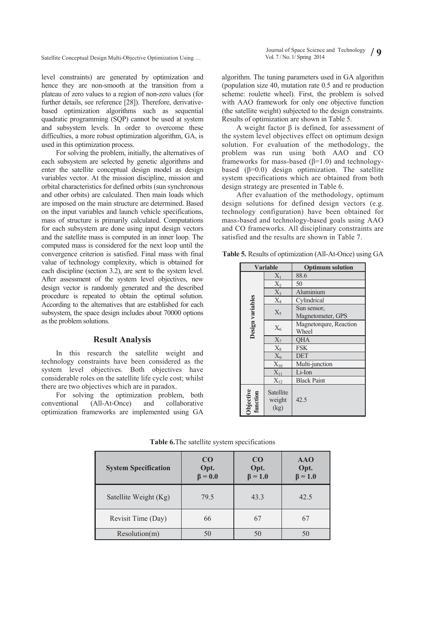Vol. 7 / No. 1/ Spring 2014 **/ 9** Satellite Conceptual Design Multi-Objective Optimization Using …

level constraints) are generated by optimization and hence they are non-smooth at the transition from a plateau of zero values to a region of non-zero values (for further details, see reference [28]). Therefore, derivativebased optimization algorithms such as sequential quadratic programming (SQP) cannot be used at system and subsystem levels. In order to overcome these difficulties, a more robust optimization algorithm, GA, is used in this optimization process.

For solving the problem, initially, the alternatives of each subsystem are selected by genetic algorithms and enter the satellite conceptual design model as design variables vector. At the mission discipline, mission and orbital characteristics for defined orbits (sun synchronous and other orbits) are calculated. Then main loads which are imposed on the main structure are determined. Based on the input variables and launch vehicle specifications, mass of structure is primarily calculated. Computations for each subsystem are done using input design vectors and the satellite mass is computed in an inner loop. The computed mass is considered for the next loop until the convergence criterion is satisfied. Final mass with final value of technology complexity, which is obtained for each discipline (section 3.2), are sent to the system level. After assessment of the system level objectives, new design vector is randomly generated and the described procedure is repeated to obtain the optimal solution. According to the alternatives that are established for each subsystem, the space design includes about 70000 options as the problem solutions.

#### **Result Analysis**

In this research the satellite weight and technology constraints have been considered as the system level objectives. Both objectives have considerable roles on the satellite life cycle cost; whilst there are two objectives which are in paradox.

For solving the optimization problem, both<br>entional (All-At-Once) and collaborative conventional (All-At-Once) and optimization frameworks are implemented using GA algorithm. The tuning parameters used in GA algorithm (population size 40, mutation rate 0.5 and re production scheme: roulette wheel). First, the problem is solved with AAO framework for only one objective function (the satellite weight) subjected to the design constraints. Results of optimization are shown in Table 5.

A weight factor  $\beta$  is defined, for assessment of the system level objectives effect on optimum design solution. For evaluation of the methodology, the problem was run using both AAO and CO frameworks for mass-based  $(\beta=1.0)$  and technologybased  $(\beta=0.0)$  design optimization. The satellite system specifications which are obtained from both design strategy are presented in Table 6.

After evaluation of the methodology, optimum design solutions for defined design vectors (e.g. technology configuration) have been obtained for mass-based and technology-based goals using AAO and CO frameworks. All disciplinary constraints are satisfied and the results are shown in Table 7.

**Table 5.** Results of optimization (All-At-Once) using GA

| <b>Variable</b>       |                             | <b>Optimum solution</b> |  |  |
|-----------------------|-----------------------------|-------------------------|--|--|
| $X_1$                 |                             | 88.6                    |  |  |
|                       |                             | 50                      |  |  |
|                       | $\frac{X_2}{X_3}$           | Aluminium               |  |  |
| Design variables      | $\overline{X_4}$            | Cylindrical             |  |  |
|                       | $X_5$                       | Sun sensor,             |  |  |
|                       |                             | Magnetometer, GPS       |  |  |
|                       |                             | Magnetorqure, Reaction  |  |  |
|                       | $\mathbf{X}_6$              | Wheel                   |  |  |
|                       | $\overline{X_7}$            | <b>OHA</b>              |  |  |
|                       | $\overline{X_8}$            | <b>FSK</b>              |  |  |
|                       | $\overline{X_9}$            | <b>DET</b>              |  |  |
|                       | $X_{10}$                    | Multi-junction          |  |  |
|                       | $X_{11}$                    | Li-Ion                  |  |  |
|                       | $X_{12}$                    | <b>Black Paint</b>      |  |  |
| Objective<br>function | Satellite<br>weight<br>(kg) | 42.5                    |  |  |

| <b>System Specification</b> | CO<br>Opt.<br>$\beta = 0.0$ | C <sub>O</sub><br>Opt.<br>$\beta = 1.0$ | <b>AAO</b><br>Opt.<br>$\beta = 1.0$ |
|-----------------------------|-----------------------------|-----------------------------------------|-------------------------------------|
| Satellite Weight (Kg)       | 79.5                        | 43.3                                    | 42.5                                |
| Revisit Time (Day)          | 66                          | 67                                      | 67                                  |
| Resolution(m)               | 50                          | 50                                      |                                     |

**Table 6.**The satellite system specifications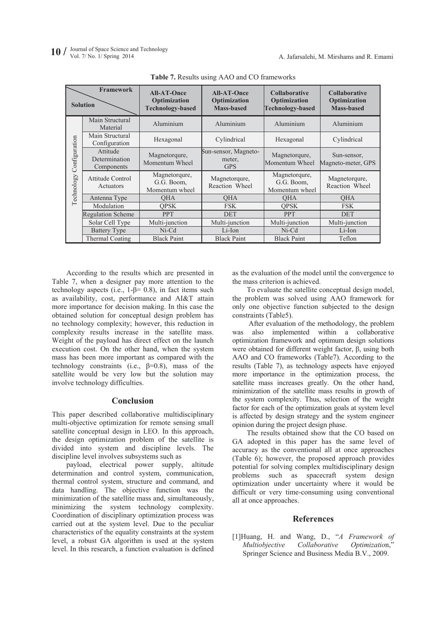|                             | Framework<br><b>Solution</b>            | <b>All-AT-Once</b><br>Optimization<br><b>Technology-based</b> | <b>All-AT-Once</b><br>Optimization<br><b>Mass-based</b> | <b>Collaborative</b><br>Optimization<br><b>Technology-based</b> | <b>Collaborative</b><br>Optimization<br><b>Mass-based</b> |
|-----------------------------|-----------------------------------------|---------------------------------------------------------------|---------------------------------------------------------|-----------------------------------------------------------------|-----------------------------------------------------------|
| Configuration<br>Technology | Main Structural<br>Material             | Aluminium                                                     | Aluminium                                               | Aluminium                                                       | Aluminium                                                 |
|                             | Main Structural<br>Configuration        | Hexagonal                                                     | Cylindrical                                             | Hexagonal                                                       | Cylindrical                                               |
|                             | Attitude<br>Determination<br>Components | Magnetorqure,<br>Momentum Wheel                               | Sun-sensor, Magneto-<br>meter,<br><b>GPS</b>            | Magnetorqure,<br>Momentum Wheel                                 | Sun-sensor,<br>Magneto-meter, GPS                         |
|                             | Attitude Control<br>Actuators           | Magnetorqure,<br>G.G. Boom,<br>Momentum wheel                 | Magnetorqure,<br>Reaction Wheel                         | Magnetorqure,<br>G.G. Boom,<br>Momentum wheel                   | Magnetorqure,<br>Reaction Wheel                           |
|                             | Antenna Type                            | <b>OHA</b>                                                    | <b>OHA</b>                                              | <b>OHA</b>                                                      | <b>OHA</b>                                                |
|                             | Modulation                              | <b>OPSK</b>                                                   | <b>FSK</b>                                              | <b>OPSK</b>                                                     | <b>FSK</b>                                                |
|                             | <b>Regulation Scheme</b>                | <b>PPT</b>                                                    | <b>DET</b>                                              | <b>PPT</b>                                                      | <b>DET</b>                                                |
|                             | Solar Cell Type                         | Multi-junction                                                | Multi-junction                                          | Multi-junction                                                  | Multi-junction                                            |
|                             | <b>Battery Type</b>                     | $Ni-Cd$                                                       | Li-Ion                                                  | $Ni-Cd$                                                         | Li-Ion                                                    |
|                             | Thermal Coating                         | <b>Black Paint</b>                                            | <b>Black Paint</b>                                      | <b>Black Paint</b>                                              | Teflon                                                    |

**Table 7.** Results using AAO and CO frameworks

According to the results which are presented in Table 7, when a designer pay more attention to the technology aspects (i.e.,  $1-\beta = 0.8$ ), in fact items such as availability, cost, performance and AI&T attain more importance for decision making. In this case the obtained solution for conceptual design problem has no technology complexity; however, this reduction in complexity results increase in the satellite mass. Weight of the payload has direct effect on the launch execution cost. On the other hand, when the system mass has been more important as compared with the technology constraints (i.e.,  $\beta=0.8$ ), mass of the satellite would be very low but the solution may involve technology difficulties.

# **Conclusion**

This paper described collaborative multidisciplinary multi-objective optimization for remote sensing small satellite conceptual design in LEO. In this approach, the design optimization problem of the satellite is divided into system and discipline levels. The discipline level involves subsystems such as

payload, electrical power supply, altitude determination and control system, communication, thermal control system, structure and command, and data handling. The objective function was the minimization of the satellite mass and, simultaneously, minimizing the system technology complexity. Coordination of disciplinary optimization process was carried out at the system level. Due to the peculiar characteristics of the equality constraints at the system level, a robust GA algorithm is used at the system level. In this research, a function evaluation is defined

as the evaluation of the model until the convergence to the mass criterion is achieved.

To evaluate the satellite conceptual design model, the problem was solved using AAO framework for only one objective function subjected to the design constraints (Table5).

 After evaluation of the methodology, the problem was also implemented within a collaborative optimization framework and optimum design solutions were obtained for different weight factor,  $\beta$ , using both AAO and CO frameworks (Table7). According to the results (Table 7), as technology aspects have enjoyed more importance in the optimization process, the satellite mass increases greatly. On the other hand, minimization of the satellite mass results in growth of the system complexity. Thus, selection of the weight factor for each of the optimization goals at system level is affected by design strategy and the system engineer opinion during the project design phase.

The results obtained show that the CO based on GA adopted in this paper has the same level of accuracy as the conventional all at once approaches (Table 6); however, the proposed approach provides potential for solving complex multidisciplinary design problems such as spacecraft system design optimization under uncertainty where it would be difficult or very time-consuming using conventional all at once approaches.

## **References**

[1]Huang, H. and Wang, D., "*A Framework of Multiobjective Collaborative Optimizatio*n, Springer Science and Business Media B.V., 2009.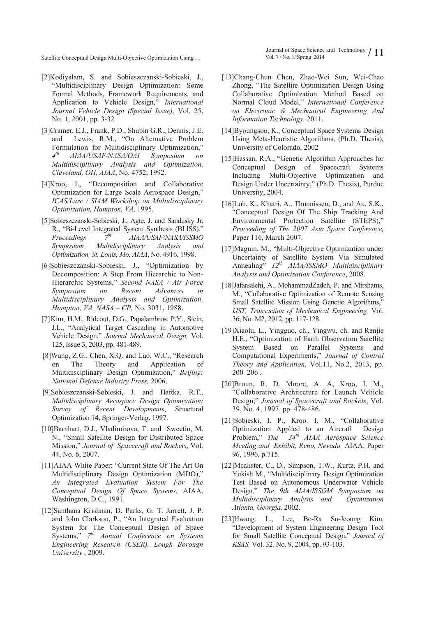- [2]Kodiyalam, S. and Sobieszczanski-Sobieski, J., "Multidisciplinary Design Optimization: Some Formal Methods, Framework Requirements, and Application to Vehicle Design," *International Journal Vehicle Design (Special Issue),* Vol. 25, No. 1, 2001, pp. 3-32
- [3]Cramer, E.J., Frank, P.D., Shubin G.R., Dennis, J.E. and Lewis, R.M., "On Alternative Problem Formulation for Multidisciplinary Optimization, *4th AIAA/USAF/NASA/OAI Symposium on Multidisciplinary Analysis and Optimization. Cleveland, OH, AIAA*, No. 4752, 1992.
- [4]Kroo, I., "Decomposition and Collaborative Optimization for Large Scale Aerospace Design," *ICAS/Larc / SIAM Workshop on Multidisciplinary Optimization, Hampton, VA*, 1995.
- [5]Sobieszczanski-Sobieski, J., Agte, J. and Sandusky Jr, R., "Bi-Level Integrated System Synthesis (BLISS)," *Proceedings 7th AIAA/USAF/NASA/ISSMO Symposium Multidisciplinary Analysis and Optimization, St. Louis, Mo, AIAA*, No. 4916, 1998.
- [6]Sobieszczanski-Sobieski, J., "Optimization by Decomposition: A Step From Hierarchic to Non-Hierarchic Systems," Second NASA / Air Force *Symposium on Recent Advances in Multidisciplinary Analysis and Optimization. Hampton, VA, NASA – CP,* No. 3031, 1988.
- [7]Kim, H.M., Rideout, D.G., Papalambros, P.Y., Stein, J.L., "Analytical Target Cascading in Automotive Vehicle Design," Journal Mechanical Design, Vol. 125, Issue 3, 2003, pp. 481-489.
- [8]Wang, Z.G., Chen, X.Q. and Luo, W.C., "Research on The Theory and Application of Multidisciplinary Design Optimization," Beijing: *National Defense Industry Press,* 2006.
- [9]Sobieszczanski-Sobieski, J. and Haftka, R.T., *Multidisciplinary Aerospace Design Optimization: Survey of Recent Developments*, Structural Optimization 14, Springer-Verlag, 1997.
- [10]Barnhart, D.J., Vladimirova, T. and Sweetin, M. N., "Small Satellite Design for Distributed Space Mission," *Journal of Spacecraft and Rockets*, Vol. 44, No. 6, 2007.
- [11]AIAA White Paper: "Current State Of The Art On Multidisciplinary Design Optimization (MDO), *An Integrated Evaluation System For The Conceptual Design Of Space Systems*, AIAA, Washington, D.C., 1991.
- [12]Santhana Krishnan, D. Parks, G. T. Jarrett, J. P. and John Clarkson, P., "An Integrated Evaluation System for The Conceptual Design of Space Systems,"  $7<sup>th</sup>$  Annual Conference on Systems *Engineering Research (CSER), Lough Borough University* , 2009.

Journal of Space Science and Technology Vol. 7 / No. 1/ Spring 2014 **/ 11** Satellite Conceptual Design Multi-Objective Optimization Using …

- [13]Chang-Chun Chen, Zhao-Wei Sun, Wei-Chao Zhong, "The Satellite Optimization Design Using Collaborative Optimization Method Based on Normal Cloud Model," International Conference *on Electronic & Mechanical Engineering And Information Technology,* 2011.
- [14]Byoungsoo, K., Conceptual Space Systems Design Using Meta-Heuristic Algorithms, (Ph.D. Thesis), University of Colorado, 2002
- [15]Hassan, R.A., "Genetic Algorithm Approaches for Conceptual Design of Spacecraft Systems Including Multi-Objective Optimization and Design Under Uncertainty," (Ph.D. Thesis), Purdue University, 2004.
- [16]Loh, K., Khatri, A., Thunnissen, D., and Au, S.K., "Conceptual Design Of The Ship Tracking And Environmental Protection Satellite (STEPS), *Proceeding of The 2007 Asia Space Conference,* Paper 116, March 2007.
- [17]Magnin, M., "Multi-Objective Optimization under Uncertainty of Satellite System Via Simulated Annealing<sup>"</sup>  $12^{th}$  AIAA/ISSMO Multidisciplinary *Analysis and Optimization Conference*, 2008.
- [18]Jafarsalehi, A., MohammadZadeh, P. and Mirshams, M., "Collaborative Optimization of Remote Sensing Small Satellite Mission Using Genetic Algorithms, *IJST, Transaction of Mechanical Engineering,* Vol. 36, No. M2, 2012, pp. 117-128.
- [19]Xiaolu, L., Yingguo, ch., Yingwu, ch. and Renjie H.E., "Optimization of Earth Observation Satellite System Based on Parallel Systems and Computational Experiments," Journal of Control *Theory and Application*, Vol.11, No.2, 2013, pp. 200–206 .
- [20]Broun, R. D. Moore, A. A, Kroo, I. M., "Collaborative Architecture for Launch Vehicle Design," Journal of Spacecraft and Rockets, Vol. 39, No. 4, 1997, pp. 478-486.
- [21]Sobieski, I. P., Kroo. I. M., "Collaborative Optimization Applied to an Aircraft Design Problem," The  $34<sup>th</sup>$  AIAA Aerospace Science *Meeting and Exhibit, Reno, Nevada* AIAA, Paper 96, 1996, p.715.
- [22]Mcalister, C., D., Simpson, T.W., Kurtz, P.H. and Yukish M., "Multidisciplinary Design Optimization Test Based on Autonomous Underwater Vehicle Design*, The 9th AIAA/ISSOM Symposium on Multidisciplinary Analysis and Optimization Atlanta, Georgia,* 2002.
- [23]Hwang, L., Lee, Bo-Ra Su-Jeoung Kim, "Development of System Engineering Design Tool for Small Satellite Conceptual Design," Journal of *KSAS,* Vol. 32, No. 9, 2004, pp. 93-103.